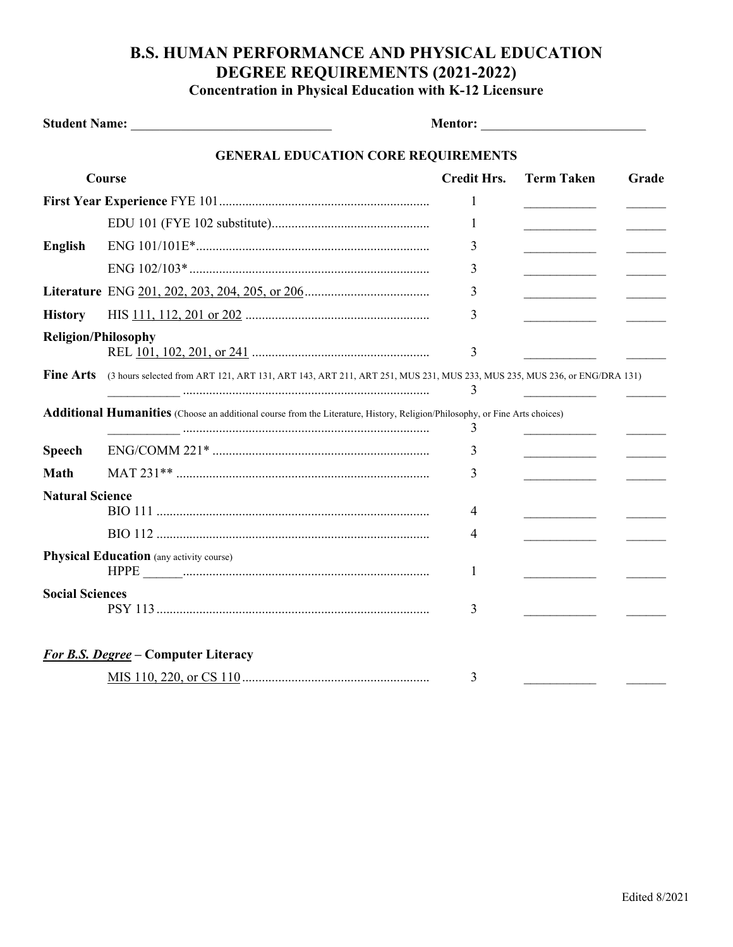## **B.S. HUMAN PERFORMANCE AND PHYSICAL EDUCATION DEGREE REQUIREMENTS (2021-2022) Concentration in Physical Education with K-12 Licensure**

|                                            |                                                                                                                                    | <b>Mentor: ___________________________________</b> |                                              |       |  |  |
|--------------------------------------------|------------------------------------------------------------------------------------------------------------------------------------|----------------------------------------------------|----------------------------------------------|-------|--|--|
| <b>GENERAL EDUCATION CORE REQUIREMENTS</b> |                                                                                                                                    |                                                    |                                              |       |  |  |
| Course                                     |                                                                                                                                    | <b>Credit Hrs.</b>                                 | <b>Term Taken</b>                            | Grade |  |  |
|                                            |                                                                                                                                    | 1                                                  |                                              |       |  |  |
|                                            |                                                                                                                                    | 1                                                  |                                              |       |  |  |
| <b>English</b>                             |                                                                                                                                    | 3                                                  |                                              |       |  |  |
|                                            |                                                                                                                                    | 3                                                  | ________________________                     |       |  |  |
|                                            |                                                                                                                                    | 3                                                  | the control of the control of the control of |       |  |  |
| <b>History</b>                             |                                                                                                                                    | 3                                                  | <u> 1990 - Johann Barbara, martin a</u>      |       |  |  |
| <b>Religion/Philosophy</b>                 |                                                                                                                                    | 3                                                  |                                              |       |  |  |
| <b>Fine Arts</b>                           | (3 hours selected from ART 121, ART 131, ART 143, ART 211, ART 251, MUS 231, MUS 233, MUS 235, MUS 236, or ENG/DRA 131)            | 3                                                  |                                              |       |  |  |
|                                            | <b>Additional Humanities</b> (Choose an additional course from the Literature, History, Religion/Philosophy, or Fine Arts choices) | 3                                                  |                                              |       |  |  |
| <b>Speech</b>                              |                                                                                                                                    | 3                                                  |                                              |       |  |  |
| <b>Math</b>                                |                                                                                                                                    | 3                                                  |                                              |       |  |  |
| <b>Natural Science</b>                     |                                                                                                                                    |                                                    |                                              |       |  |  |
|                                            |                                                                                                                                    | 4                                                  |                                              |       |  |  |
|                                            |                                                                                                                                    | 4                                                  |                                              |       |  |  |
|                                            | <b>Physical Education</b> (any activity course)                                                                                    | 1                                                  |                                              |       |  |  |
| <b>Social Sciences</b>                     |                                                                                                                                    | 3                                                  |                                              |       |  |  |
|                                            | <b>For B.S. Degree - Computer Literacy</b>                                                                                         |                                                    |                                              |       |  |  |
|                                            |                                                                                                                                    | 3                                                  |                                              |       |  |  |